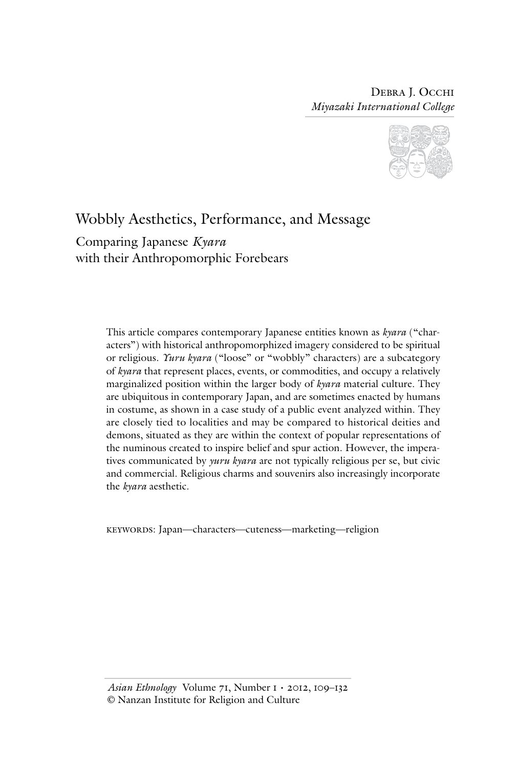

# Wobbly Aesthetics, Performance, and Message

Comparing Japanese *Kyara* with their Anthropomorphic Forebears

> This article compares contemporary Japanese entities known as *kyara* ("characters") with historical anthropomorphized imagery considered to be spiritual or religious. *Yuru kyara* ("loose" or "wobbly" characters) are a subcategory of *kyara* that represent places, events, or commodities, and occupy a relatively marginalized position within the larger body of *kyara* material culture. They are ubiquitous in contemporary Japan, and are sometimes enacted by humans in costume, as shown in a case study of a public event analyzed within. They are closely tied to localities and may be compared to historical deities and demons, situated as they are within the context of popular representations of the numinous created to inspire belief and spur action. However, the imperatives communicated by *yuru kyara* are not typically religious per se, but civic and commercial. Religious charms and souvenirs also increasingly incorporate the *kyara* aesthetic.

keywords: Japan—characters—cuteness—marketing—religion

*Asian Ethnology* Volume 71, Number 1 • 2012, 109–132 © Nanzan Institute for Religion and Culture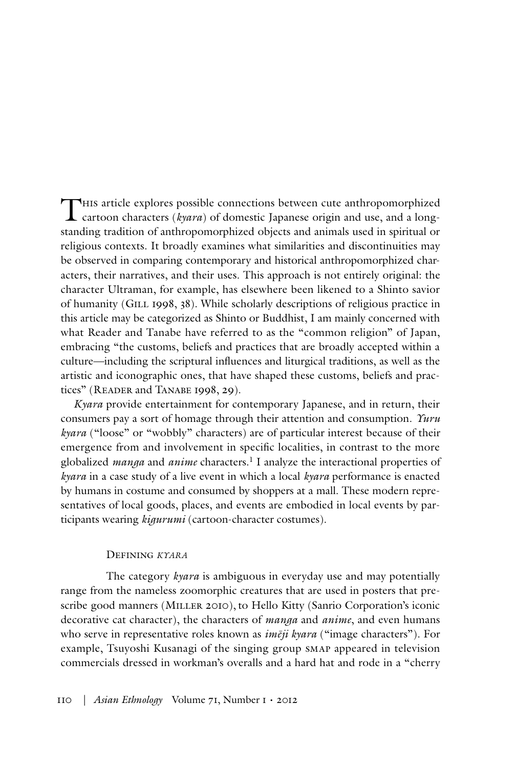This article explores possible connections between cute anthropomorphized cartoon characters (*kyara*) of domestic Japanese origin and use, and a longstanding tradition of anthropomorphized objects and animals used in spiritual or religious contexts. It broadly examines what similarities and discontinuities may be observed in comparing contemporary and historical anthropomorphized characters, their narratives, and their uses. This approach is not entirely original: the character Ultraman, for example, has elsewhere been likened to a Shinto savior of humanity (GILL 1998, 38). While scholarly descriptions of religious practice in this article may be categorized as Shinto or Buddhist, I am mainly concerned with what Reader and Tanabe have referred to as the "common religion" of Japan, embracing "the customs, beliefs and practices that are broadly accepted within a culture—including the scriptural influences and liturgical traditions, as well as the artistic and iconographic ones, that have shaped these customs, beliefs and practices" (READER and TANABE 1998, 29).

*Kyara* provide entertainment for contemporary Japanese, and in return, their consumers pay a sort of homage through their attention and consumption. *Yuru kyara* ("loose" or "wobbly" characters) are of particular interest because of their emergence from and involvement in specific localities, in contrast to the more globalized *manga* and *anime* characters.1 I analyze the interactional properties of *kyara* in a case study of a live event in which a local *kyara* performance is enacted by humans in costume and consumed by shoppers at a mall. These modern representatives of local goods, places, and events are embodied in local events by participants wearing *kigurumi* (cartoon-character costumes).

#### Defining *kyara*

The category *kyara* is ambiguous in everyday use and may potentially range from the nameless zoomorphic creatures that are used in posters that prescribe good manners (MILLER 2010), to Hello Kitty (Sanrio Corporation's iconic decorative cat character), the characters of *manga* and *anime*, and even humans who serve in representative roles known as *imēji kyara* ("image characters"). For example, Tsuyoshi Kusanagi of the singing group smap appeared in television commercials dressed in workman's overalls and a hard hat and rode in a "cherry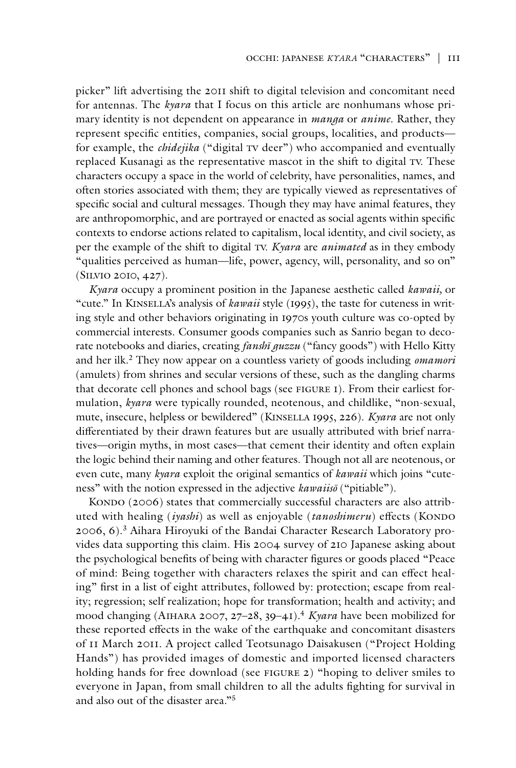picker" lift advertising the 2011 shift to digital television and concomitant need for antennas. The *kyara* that I focus on this article are nonhumans whose primary identity is not dependent on appearance in *manga* or *anime*. Rather, they represent specific entities, companies, social groups, localities, and products for example, the *chidejika* ("digital TV deer") who accompanied and eventually replaced Kusanagi as the representative mascot in the shift to digital TV. These characters occupy a space in the world of celebrity, have personalities, names, and often stories associated with them; they are typically viewed as representatives of specific social and cultural messages. Though they may have animal features, they are anthropomorphic, and are portrayed or enacted as social agents within specific contexts to endorse actions related to capitalism, local identity, and civil society, as per the example of the shift to digital tv. *Kyara* are *animated* as in they embody "qualities perceived as human—life, power, agency, will, personality, and so on" (Silvio 2010, 427).

*Kyara* occupy a prominent position in the Japanese aesthetic called *kawaii,* or "cute." In KINSELLA's analysis of *kawaii* style (1995), the taste for cuteness in writing style and other behaviors originating in 1970s youth culture was co-opted by commercial interests. Consumer goods companies such as Sanrio began to decorate notebooks and diaries, creating *fanshī guzzu* ("fancy goods") with Hello Kitty and her ilk.2 They now appear on a countless variety of goods including *omamori* (amulets) from shrines and secular versions of these, such as the dangling charms that decorate cell phones and school bags (see figure 1). From their earliest formulation, *kyara* were typically rounded, neotenous, and childlike, "non-sexual, mute, insecure, helpless or bewildered" (Kinsella 1995, 226). *Kyara* are not only differentiated by their drawn features but are usually attributed with brief narratives—origin myths, in most cases—that cement their identity and often explain the logic behind their naming and other features. Though not all are neotenous, or even cute, many *kyara* exploit the original semantics of *kawaii* which joins "cuteness" with the notion expressed in the adjective *kawaiisō* ("pitiable").

KONDO (2006) states that commercially successful characters are also attributed with healing *(iyashi)* as well as enjoyable *(tanoshimeru)* effects *(KONDO)* 2006, 6).3 Aihara Hiroyuki of the Bandai Character Research Laboratory provides data supporting this claim. His 2004 survey of 210 Japanese asking about the psychological benefits of being with character figures or goods placed "Peace of mind: Being together with characters relaxes the spirit and can effect healing" first in a list of eight attributes, followed by: protection; escape from reality; regression; self realization; hope for transformation; health and activity; and mood changing (Aihara 2007, 27–28, 39–41).4 *Kyara* have been mobilized for these reported effects in the wake of the earthquake and concomitant disasters of 11 March 2011. A project called Teotsunago Daisakusen ("Project Holding Hands") has provided images of domestic and imported licensed characters holding hands for free download (see FIGURE 2) "hoping to deliver smiles to everyone in Japan, from small children to all the adults fighting for survival in and also out of the disaster area."5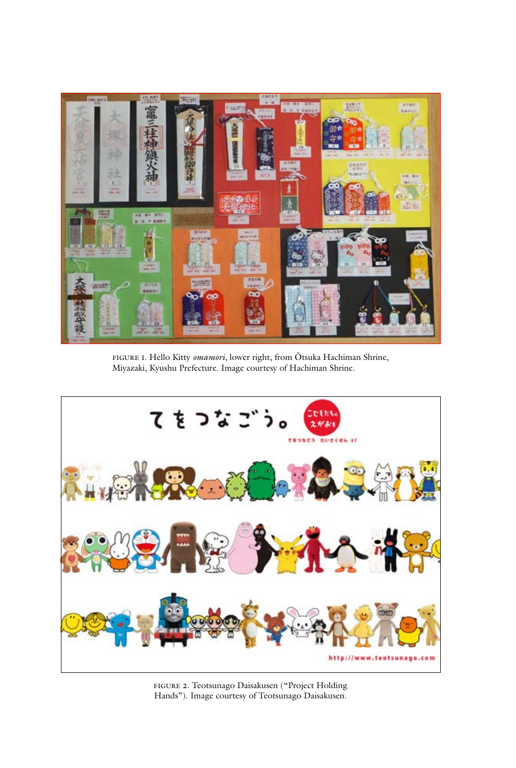

figure 1. Hello Kitty *omamori*, lower right, from Ōtsuka Hachiman Shrine, Miyazaki, Kyushu Prefecture. Image courtesy of Hachiman Shrine.



figure 2. Teotsunago Daisakusen ("Project Holding Hands"). Image courtesy of Teotsunago Daisakusen.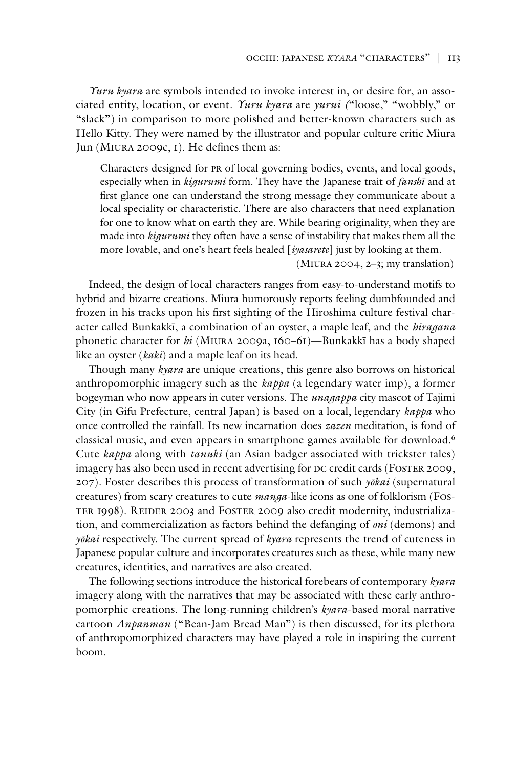*Yuru kyara* are symbols intended to invoke interest in, or desire for, an associated entity, location, or event. *Yuru kyara* are *yurui (*"loose," "wobbly," or "slack") in comparison to more polished and better-known characters such as Hello Kitty. They were named by the illustrator and popular culture critic Miura Jun (Miura 2009c, 1). He defines them as:

Characters designed for pr of local governing bodies, events, and local goods, especially when in *kigurumi* form. They have the Japanese trait of *fanshī* and at first glance one can understand the strong message they communicate about a local speciality or characteristic. There are also characters that need explanation for one to know what on earth they are. While bearing originality, when they are made into *kigurumi* they often have a sense of instability that makes them all the more lovable, and one's heart feels healed [*iyasarete*] just by looking at them.

(Miura 2004, 2–3; my translation)

Indeed, the design of local characters ranges from easy-to-understand motifs to hybrid and bizarre creations. Miura humorously reports feeling dumbfounded and frozen in his tracks upon his first sighting of the Hiroshima culture festival character called Bunkakkī, a combination of an oyster, a maple leaf, and the *hiragana* phonetic character for *hi* (Miura 2009a, 160–61)—Bunkakkī has a body shaped like an oyster (*kaki*) and a maple leaf on its head.

Though many *kyara* are unique creations, this genre also borrows on historical anthropomorphic imagery such as the *kappa* (a legendary water imp), a former bogeyman who now appears in cuter versions. The *unagappa* city mascot of Tajimi City (in Gifu Prefecture, central Japan) is based on a local, legendary *kappa* who once controlled the rainfall. Its new incarnation does *zazen* meditation, is fond of classical music, and even appears in smartphone games available for download.6 Cute *kappa* along with *tanuki* (an Asian badger associated with trickster tales) imagery has also been used in recent advertising for DC credit cards (FOSTER 2009, 207). Foster describes this process of transformation of such *yōkai* (supernatural creatures) from scary creatures to cute *manga*-like icons as one of folklorism (Foster 1998). Reider 2003 and Foster 2009 also credit modernity, industrialization, and commercialization as factors behind the defanging of *oni* (demons) and *yōkai* respectively. The current spread of *kyara* represents the trend of cuteness in Japanese popular culture and incorporates creatures such as these, while many new creatures, identities, and narratives are also created.

The following sections introduce the historical forebears of contemporary *kyara* imagery along with the narratives that may be associated with these early anthropomorphic creations. The long-running children's *kyara*-based moral narrative cartoon *Anpanman* ("Bean-Jam Bread Man") is then discussed, for its plethora of anthropomorphized characters may have played a role in inspiring the current boom.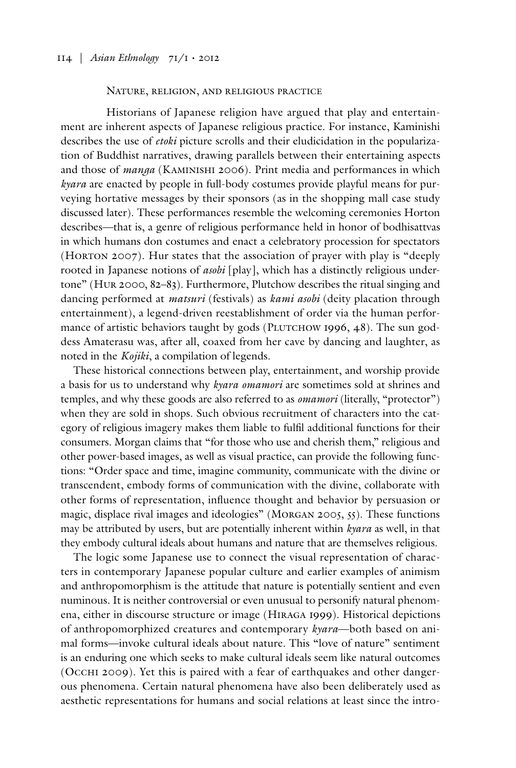# Nature, religion, and religious practice

Historians of Japanese religion have argued that play and entertainment are inherent aspects of Japanese religious practice. For instance, Kaminishi describes the use of *etoki* picture scrolls and their eludicidation in the popularization of Buddhist narratives, drawing parallels between their entertaining aspects and those of *manga* (Kaminishi 2006). Print media and performances in which *kyara* are enacted by people in full-body costumes provide playful means for purveying hortative messages by their sponsors (as in the shopping mall case study discussed later). These performances resemble the welcoming ceremonies Horton describes—that is, a genre of religious performance held in honor of bodhisattvas in which humans don costumes and enact a celebratory procession for spectators (HORTON 2007). Hur states that the association of prayer with play is "deeply rooted in Japanese notions of *asobi* [play], which has a distinctly religious undertone" (Hur 2000, 82–83). Furthermore, Plutchow describes the ritual singing and dancing performed at *matsuri* (festivals) as *kami asobi* (deity placation through entertainment), a legend-driven reestablishment of order via the human performance of artistic behaviors taught by gods (PLUTCHOW 1996, 48). The sun goddess Amaterasu was, after all, coaxed from her cave by dancing and laughter, as noted in the *Kojiki*, a compilation of legends.

These historical connections between play, entertainment, and worship provide a basis for us to understand why *kyara omamori* are sometimes sold at shrines and temples, and why these goods are also referred to as *omamori* (literally, "protector") when they are sold in shops. Such obvious recruitment of characters into the category of religious imagery makes them liable to fulfil additional functions for their consumers. Morgan claims that "for those who use and cherish them," religious and other power-based images, as well as visual practice, can provide the following functions: "Order space and time, imagine community, communicate with the divine or transcendent, embody forms of communication with the divine, collaborate with other forms of representation, influence thought and behavior by persuasion or magic, displace rival images and ideologies" (Morgan 2005, 55). These functions may be attributed by users, but are potentially inherent within *kyara* as well, in that they embody cultural ideals about humans and nature that are themselves religious.

The logic some Japanese use to connect the visual representation of characters in contemporary Japanese popular culture and earlier examples of animism and anthropomorphism is the attitude that nature is potentially sentient and even numinous. It is neither controversial or even unusual to personify natural phenomena, either in discourse structure or image (Hiraga 1999). Historical depictions of anthropomorphized creatures and contemporary *kyara*—both based on animal forms—invoke cultural ideals about nature. This "love of nature" sentiment is an enduring one which seeks to make cultural ideals seem like natural outcomes (Occhi 2009). Yet this is paired with a fear of earthquakes and other dangerous phenomena. Certain natural phenomena have also been deliberately used as aesthetic representations for humans and social relations at least since the intro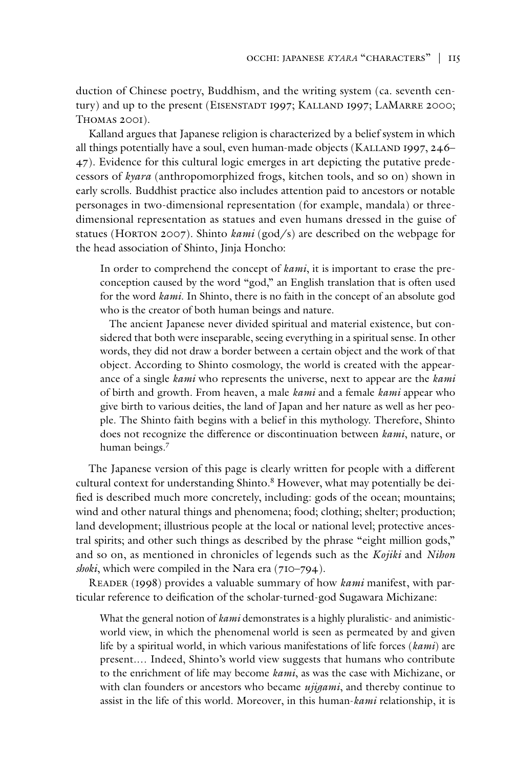duction of Chinese poetry, Buddhism, and the writing system (ca. seventh century) and up to the present (EISENSTADT 1997; KALLAND 1997; LAMARRE 2000; Thomas 2001).

Kalland argues that Japanese religion is characterized by a belief system in which all things potentially have a soul, even human-made objects (KALLAND 1997, 246– 47). Evidence for this cultural logic emerges in art depicting the putative predecessors of *kyara* (anthropomorphized frogs, kitchen tools, and so on) shown in early scrolls. Buddhist practice also includes attention paid to ancestors or notable personages in two-dimensional representation (for example, mandala) or threedimensional representation as statues and even humans dressed in the guise of statues (HORTON 2007). Shinto *kami* (god/s) are described on the webpage for the head association of Shinto, Jinja Honcho:

In order to comprehend the concept of *kami*, it is important to erase the preconception caused by the word "god," an English translation that is often used for the word *kami*. In Shinto, there is no faith in the concept of an absolute god who is the creator of both human beings and nature.

The ancient Japanese never divided spiritual and material existence, but considered that both were inseparable, seeing everything in a spiritual sense. In other words, they did not draw a border between a certain object and the work of that object. According to Shinto cosmology, the world is created with the appearance of a single *kami* who represents the universe, next to appear are the *kami* of birth and growth. From heaven, a male *kami* and a female *kami* appear who give birth to various deities, the land of Japan and her nature as well as her people. The Shinto faith begins with a belief in this mythology. Therefore, Shinto does not recognize the difference or discontinuation between *kami*, nature, or human beings.7

The Japanese version of this page is clearly written for people with a different cultural context for understanding Shinto.<sup>8</sup> However, what may potentially be deified is described much more concretely, including: gods of the ocean; mountains; wind and other natural things and phenomena; food; clothing; shelter; production; land development; illustrious people at the local or national level; protective ancestral spirits; and other such things as described by the phrase "eight million gods," and so on, as mentioned in chronicles of legends such as the *Kojiki* and *Nihon shoki*, which were compiled in the Nara era (710–794).

Reader (1998) provides a valuable summary of how *kami* manifest, with particular reference to deification of the scholar-turned-god Sugawara Michizane:

What the general notion of *kami* demonstrates is a highly pluralistic- and animisticworld view, in which the phenomenal world is seen as permeated by and given life by a spiritual world, in which various manifestations of life forces (*kami*) are present.… Indeed, Shinto's world view suggests that humans who contribute to the enrichment of life may become *kami*, as was the case with Michizane, or with clan founders or ancestors who became *ujigami*, and thereby continue to assist in the life of this world. Moreover, in this human-*kami* relationship, it is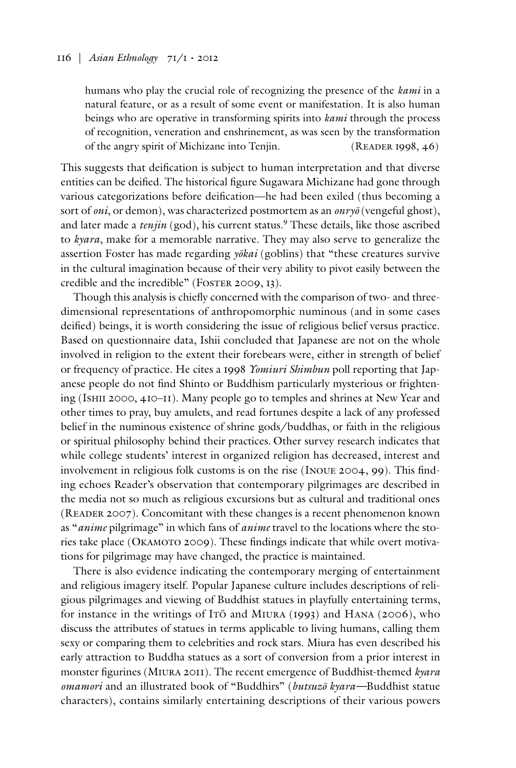humans who play the crucial role of recognizing the presence of the *kami* in a natural feature, or as a result of some event or manifestation. It is also human beings who are operative in transforming spirits into *kami* through the process of recognition, veneration and enshrinement, as was seen by the transformation of the angry spirit of Michizane into Tenjin. (READER 1998, 46)

This suggests that deification is subject to human interpretation and that diverse entities can be deified. The historical figure Sugawara Michizane had gone through various categorizations before deification—he had been exiled (thus becoming a sort of *oni*, or demon), was characterized postmortem as an *onryō* (vengeful ghost), and later made a *tenjin* (god), his current status.<sup>9</sup> These details, like those ascribed to *kyara*, make for a memorable narrative. They may also serve to generalize the assertion Foster has made regarding *yōkai* (goblins) that "these creatures survive in the cultural imagination because of their very ability to pivot easily between the credible and the incredible" (FOSTER 2009, 13).

Though this analysis is chiefly concerned with the comparison of two- and threedimensional representations of anthropomorphic numinous (and in some cases deified) beings, it is worth considering the issue of religious belief versus practice. Based on questionnaire data, Ishii concluded that Japanese are not on the whole involved in religion to the extent their forebears were, either in strength of belief or frequency of practice. He cites a 1998 *Yomiuri Shimbun* poll reporting that Japanese people do not find Shinto or Buddhism particularly mysterious or frightening (Ishii 2000, 410–11). Many people go to temples and shrines at New Year and other times to pray, buy amulets, and read fortunes despite a lack of any professed belief in the numinous existence of shrine gods/buddhas, or faith in the religious or spiritual philosophy behind their practices. Other survey research indicates that while college students' interest in organized religion has decreased, interest and involvement in religious folk customs is on the rise (Inoue 2004, 99). This finding echoes Reader's observation that contemporary pilgrimages are described in the media not so much as religious excursions but as cultural and traditional ones (Reader 2007). Concomitant with these changes is a recent phenomenon known as "*anime* pilgrimage" in which fans of *anime* travel to the locations where the stories take place (OKAMOTO 2009). These findings indicate that while overt motivations for pilgrimage may have changed, the practice is maintained.

There is also evidence indicating the contemporary merging of entertainment and religious imagery itself. Popular Japanese culture includes descriptions of religious pilgrimages and viewing of Buddhist statues in playfully entertaining terms, for instance in the writings of Itō and Miura (1993) and Hana (2006), who discuss the attributes of statues in terms applicable to living humans, calling them sexy or comparing them to celebrities and rock stars. Miura has even described his early attraction to Buddha statues as a sort of conversion from a prior interest in monster figurines (Miura 2011). The recent emergence of Buddhist-themed *kyara omamori* and an illustrated book of "Buddhirs" (*butsuzō kyara—*Buddhist statue characters), contains similarly entertaining descriptions of their various powers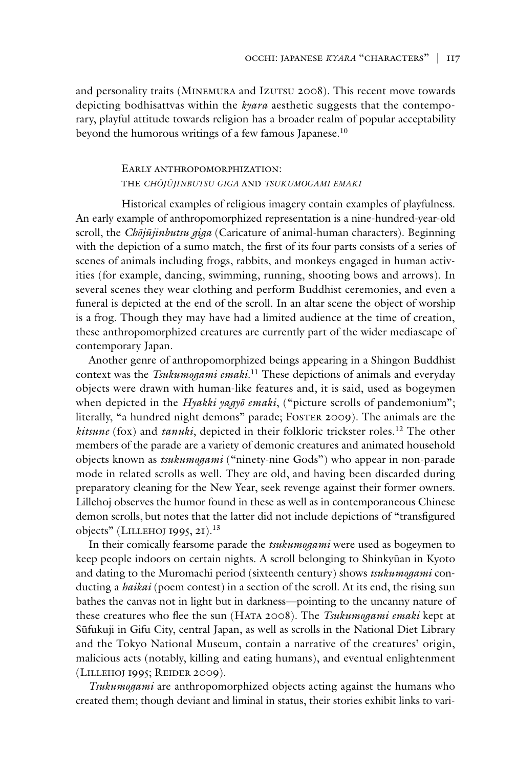and personality traits (MINEMURA and IzUTSU 2008). This recent move towards depicting bodhisattvas within the *kyara* aesthetic suggests that the contemporary, playful attitude towards religion has a broader realm of popular acceptability beyond the humorous writings of a few famous Japanese.10

# Early anthropomorphization: the *chōjūjinbutsu giga* and *tsukumogami emaki*

Historical examples of religious imagery contain examples of playfulness. An early example of anthropomorphized representation is a nine-hundred-year-old scroll, the *Chōjūjinbutsu giga* (Caricature of animal-human characters). Beginning with the depiction of a sumo match, the first of its four parts consists of a series of scenes of animals including frogs, rabbits, and monkeys engaged in human activities (for example, dancing, swimming, running, shooting bows and arrows). In several scenes they wear clothing and perform Buddhist ceremonies, and even a funeral is depicted at the end of the scroll. In an altar scene the object of worship is a frog. Though they may have had a limited audience at the time of creation, these anthropomorphized creatures are currently part of the wider mediascape of contemporary Japan.

Another genre of anthropomorphized beings appearing in a Shingon Buddhist context was the *Tsukumogami emaki*. 11 These depictions of animals and everyday objects were drawn with human-like features and, it is said, used as bogeymen when depicted in the *Hyakki yagyō emaki*, ("picture scrolls of pandemonium"; literally, "a hundred night demons" parade; FOSTER 2009). The animals are the *kitsune* (fox) and *tanuki*, depicted in their folkloric trickster roles.12 The other members of the parade are a variety of demonic creatures and animated household objects known as *tsukumogami* ("ninety-nine Gods") who appear in non-parade mode in related scrolls as well. They are old, and having been discarded during preparatory cleaning for the New Year, seek revenge against their former owners. Lillehoj observes the humor found in these as well as in contemporaneous Chinese demon scrolls, but notes that the latter did not include depictions of "transfigured objects" (LILLEHOJ 1995, 21).<sup>13</sup>

In their comically fearsome parade the *tsukumogami* were used as bogeymen to keep people indoors on certain nights. A scroll belonging to Shinkyūan in Kyoto and dating to the Muromachi period (sixteenth century) shows *tsukumogami* conducting a *haikai* (poem contest) in a section of the scroll. At its end, the rising sun bathes the canvas not in light but in darkness—pointing to the uncanny nature of these creatures who flee the sun (Hata 2008). The *Tsukumogami emaki* kept at Sūfukuji in Gifu City, central Japan, as well as scrolls in the National Diet Library and the Tokyo National Museum, contain a narrative of the creatures' origin, malicious acts (notably, killing and eating humans), and eventual enlightenment (Lillehoj 1995; Reider 2009).

*Tsukumogami* are anthropomorphized objects acting against the humans who created them; though deviant and liminal in status, their stories exhibit links to vari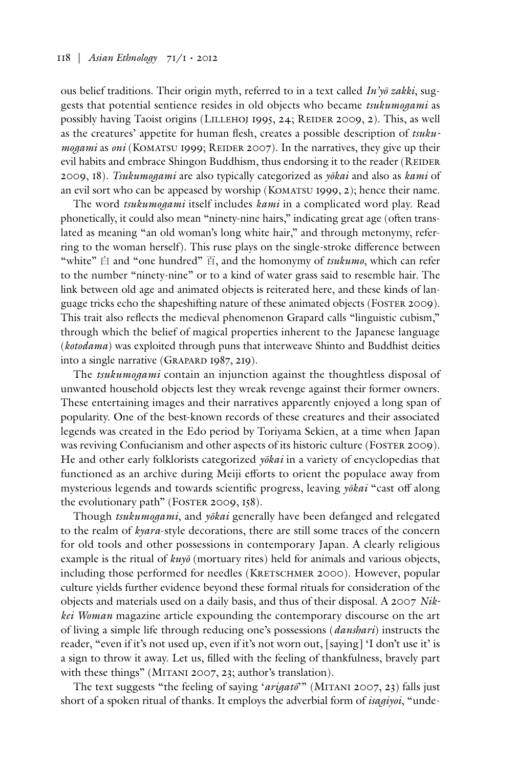ous belief traditions. Their origin myth, referred to in a text called *In'yō zakki*, suggests that potential sentience resides in old objects who became *tsukumogami* as possibly having Taoist origins (LILLEHOJ 1995, 24; REIDER 2009, 2). This, as well as the creatures' appetite for human flesh, creates a possible description of *tsukumogami* as *oni* (KOMATSU 1999; REIDER 2007). In the narratives, they give up their evil habits and embrace Shingon Buddhism, thus endorsing it to the reader (REIDER 2009, 18). *Tsukumogami* are also typically categorized as *yōkai* and also as *kami* of an evil sort who can be appeased by worship (KOMATSU 1999,  $2$ ); hence their name.

The word *tsukumogami* itself includes *kami* in a complicated word play. Read phonetically, it could also mean "ninety-nine hairs," indicating great age (often translated as meaning "an old woman's long white hair," and through metonymy, referring to the woman herself). This ruse plays on the single-stroke difference between "white" 白 and "one hundred" 百, and the homonymy of *tsukumo*, which can refer to the number "ninety-nine" or to a kind of water grass said to resemble hair. The link between old age and animated objects is reiterated here, and these kinds of language tricks echo the shapeshifting nature of these animated objects (FOSTER 2009). This trait also reflects the medieval phenomenon Grapard calls "linguistic cubism," through which the belief of magical properties inherent to the Japanese language (*kotodama*) was exploited through puns that interweave Shinto and Buddhist deities into a single narrative (GRAPARD 1987, 219).

The *tsukumogami* contain an injunction against the thoughtless disposal of unwanted household objects lest they wreak revenge against their former owners. These entertaining images and their narratives apparently enjoyed a long span of popularity. One of the best-known records of these creatures and their associated legends was created in the Edo period by Toriyama Sekien, at a time when Japan was reviving Confucianism and other aspects of its historic culture (Foster 2009). He and other early folklorists categorized *yōkai* in a variety of encyclopedias that functioned as an archive during Meiji efforts to orient the populace away from mysterious legends and towards scientific progress, leaving *yōkai* "cast off along the evolutionary path" (FOSTER 2009, 158).

Though *tsukumogami*, and *yōkai* generally have been defanged and relegated to the realm of *kyara*-style decorations, there are still some traces of the concern for old tools and other possessions in contemporary Japan. A clearly religious example is the ritual of *kuyō* (mortuary rites) held for animals and various objects, including those performed for needles (KRETSCHMER 2000). However, popular culture yields further evidence beyond these formal rituals for consideration of the objects and materials used on a daily basis, and thus of their disposal. A 2007 *Nikkei Woman* magazine article expounding the contemporary discourse on the art of living a simple life through reducing one's possessions (*danshari*) instructs the reader, "even if it's not used up, even if it's not worn out, [saying] 'I don't use it' is a sign to throw it away. Let us, filled with the feeling of thankfulness, bravely part with these things" (MITANI 2007, 23; author's translation).

The text suggests "the feeling of saying '*arigatō*'" (Mitani 2007, 23) falls just short of a spoken ritual of thanks. It employs the adverbial form of *isagiyoi*, "unde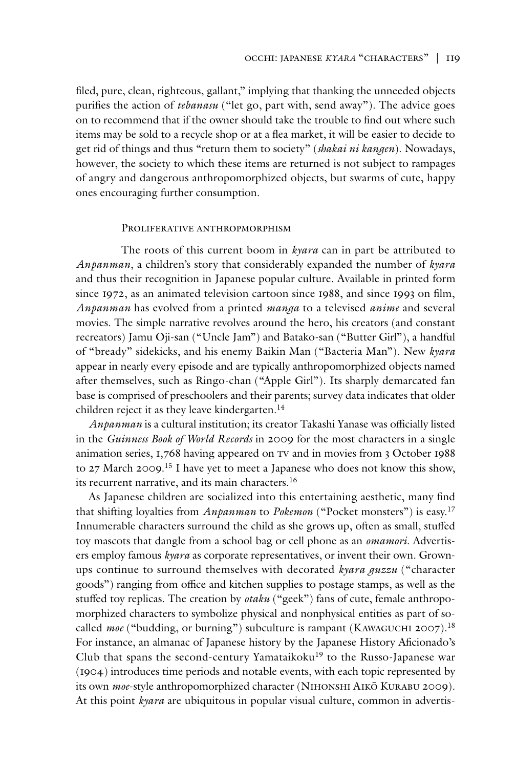filed, pure, clean, righteous, gallant," implying that thanking the unneeded objects purifies the action of *tebanasu* ("let go, part with, send away"). The advice goes on to recommend that if the owner should take the trouble to find out where such items may be sold to a recycle shop or at a flea market, it will be easier to decide to get rid of things and thus "return them to society" (*shakai ni kangen*). Nowadays, however, the society to which these items are returned is not subject to rampages of angry and dangerous anthropomorphized objects, but swarms of cute, happy ones encouraging further consumption.

#### PROLIFER ATIVE ANTHROPMORPHISM

The roots of this current boom in *kyara* can in part be attributed to *Anpanman*, a children's story that considerably expanded the number of *kyara* and thus their recognition in Japanese popular culture. Available in printed form since 1972, as an animated television cartoon since 1988, and since 1993 on film, *Anpanman* has evolved from a printed *manga* to a televised *anime* and several movies. The simple narrative revolves around the hero, his creators (and constant recreators) Jamu Oji-san ("Uncle Jam") and Batako-san ("Butter Girl"), a handful of "bready" sidekicks, and his enemy Baikin Man ("Bacteria Man"). New *kyara* appear in nearly every episode and are typically anthropomorphized objects named after themselves, such as Ringo-chan ("Apple Girl"). Its sharply demarcated fan base is comprised of preschoolers and their parents; survey data indicates that older children reject it as they leave kindergarten.<sup>14</sup>

*Anpanman* is a cultural institution; its creator Takashi Yanase was officially listed in the *Guinness Book of World Records* in 2009 for the most characters in a single animation series, 1,768 having appeared on tv and in movies from 3 October 1988 to 27 March 2009.<sup>15</sup> I have yet to meet a Japanese who does not know this show, its recurrent narrative, and its main characters.<sup>16</sup>

As Japanese children are socialized into this entertaining aesthetic, many find that shifting loyalties from *Anpanman* to *Pokemon* ("Pocket monsters") is easy.17 Innumerable characters surround the child as she grows up, often as small, stuffed toy mascots that dangle from a school bag or cell phone as an *omamori*. Advertisers employ famous *kyara* as corporate representatives, or invent their own. Grownups continue to surround themselves with decorated *kyara guzzu* ("character goods") ranging from office and kitchen supplies to postage stamps, as well as the stuffed toy replicas. The creation by *otaku* ("geek") fans of cute, female anthropomorphized characters to symbolize physical and nonphysical entities as part of socalled *moe* ("budding, or burning") subculture is rampant (KAWAGUCHI 2007).<sup>18</sup> For instance, an almanac of Japanese history by the Japanese History Aficionado's Club that spans the second-century Yamataikoku<sup>19</sup> to the Russo-Japanese war (1904) introduces time periods and notable events, with each topic represented by its own *moe*-style anthropomorphized character (Nihonshi Aikō Kurabu 2009). At this point *kyara* are ubiquitous in popular visual culture, common in advertis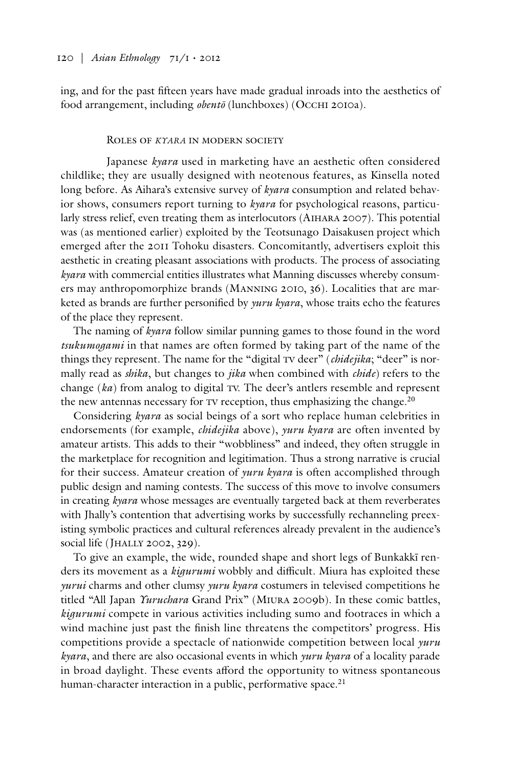ing, and for the past fifteen years have made gradual inroads into the aesthetics of food arrangement, including *obentō* (lunchboxes) (OccHI 2010a).

#### Roles of *kyara* in modern society

Japanese *kyara* used in marketing have an aesthetic often considered childlike; they are usually designed with neotenous features, as Kinsella noted long before. As Aihara's extensive survey of *kyara* consumption and related behavior shows, consumers report turning to *kyara* for psychological reasons, particularly stress relief, even treating them as interlocutors (Aihara 2007). This potential was (as mentioned earlier) exploited by the Teotsunago Daisakusen project which emerged after the 2011 Tohoku disasters. Concomitantly, advertisers exploit this aesthetic in creating pleasant associations with products. The process of associating *kyara* with commercial entities illustrates what Manning discusses whereby consumers may anthropomorphize brands (Manning 2010, 36). Localities that are marketed as brands are further personified by *yuru kyara*, whose traits echo the features of the place they represent.

The naming of *kyara* follow similar punning games to those found in the word *tsukumogami* in that names are often formed by taking part of the name of the things they represent. The name for the "digital TV deer" (*chidejika*; "deer" is normally read as *shika*, but changes to *jika* when combined with *chide*) refers to the change  $(ka)$  from analog to digital TV. The deer's antlers resemble and represent the new antennas necessary for  $Tv$  reception, thus emphasizing the change.<sup>20</sup>

Considering *kyara* as social beings of a sort who replace human celebrities in endorsements (for example, *chidejika* above), *yuru kyara* are often invented by amateur artists. This adds to their "wobbliness" and indeed, they often struggle in the marketplace for recognition and legitimation. Thus a strong narrative is crucial for their success. Amateur creation of *yuru kyara* is often accomplished through public design and naming contests. The success of this move to involve consumers in creating *kyara* whose messages are eventually targeted back at them reverberates with Jhally's contention that advertising works by successfully rechanneling preexisting symbolic practices and cultural references already prevalent in the audience's social life (JHALLY 2002, 329).

To give an example, the wide, rounded shape and short legs of Bunkakkī renders its movement as a *kigurumi* wobbly and difficult. Miura has exploited these *yurui* charms and other clumsy *yuru kyara* costumers in televised competitions he titled "All Japan *Yuruchara* Grand Prix" (Miura 2009b). In these comic battles, *kigurumi* compete in various activities including sumo and footraces in which a wind machine just past the finish line threatens the competitors' progress. His competitions provide a spectacle of nationwide competition between local *yuru kyara*, and there are also occasional events in which *yuru kyara* of a locality parade in broad daylight. These events afford the opportunity to witness spontaneous human-character interaction in a public, performative space.<sup>21</sup>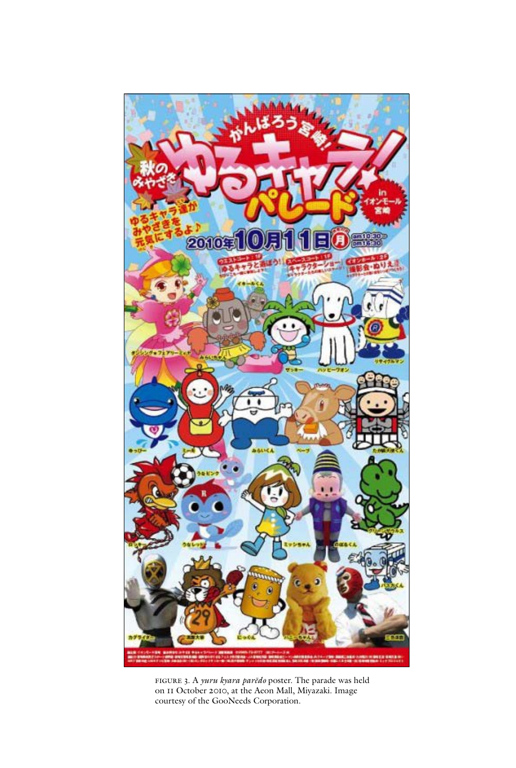

figure 3. A *yuru kyara parēdo* poster. The parade was held on 11 October 2010, at the Aeon Mall, Miyazaki. Image courtesy of the GooNeeds Corporation.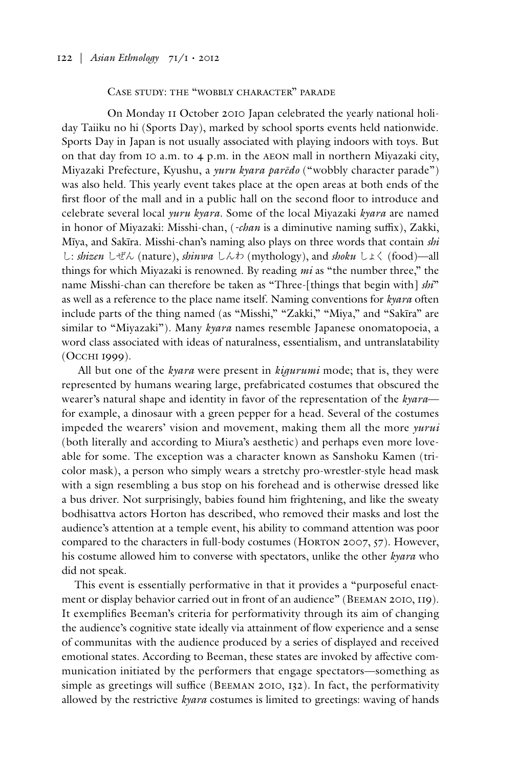#### Case study: the "wobbly character" parade

On Monday 11 October 2010 Japan celebrated the yearly national holiday Taiiku no hi (Sports Day), marked by school sports events held nationwide. Sports Day in Japan is not usually associated with playing indoors with toys. But on that day from 10 a.m. to  $4$  p.m. in the AEON mall in northern Miyazaki city, Miyazaki Prefecture, Kyushu, a *yuru kyara parēdo* ("wobbly character parade") was also held. This yearly event takes place at the open areas at both ends of the first floor of the mall and in a public hall on the second floor to introduce and celebrate several local *yuru kyara.* Some of the local Miyazaki *kyara* are named in honor of Miyazaki: Misshi-chan, (*-chan* is a diminutive naming suffix), Zakki, Mīya, and Sakīra. Misshi-chan's naming also plays on three words that contain *shi*  し: *shizen* しぜん (nature), *shinwa* しんわ (mythology), and *shoku* しょく (food)—all things for which Miyazaki is renowned. By reading *mi* as "the number three," the name Misshi-chan can therefore be taken as "Three-[things that begin with] *shi*" as well as a reference to the place name itself. Naming conventions for *kyara* often include parts of the thing named (as "Misshi," "Zakki," "Miya," and "Sakīra" are similar to "Miyazaki"). Many *kyara* names resemble Japanese onomatopoeia, a word class associated with ideas of naturalness, essentialism, and untranslatability (Occhi 1999).

 All but one of the *kyara* were present in *kigurumi* mode; that is, they were represented by humans wearing large, prefabricated costumes that obscured the wearer's natural shape and identity in favor of the representation of the *kyara* for example, a dinosaur with a green pepper for a head. Several of the costumes impeded the wearers' vision and movement, making them all the more *yurui* (both literally and according to Miura's aesthetic) and perhaps even more loveable for some. The exception was a character known as Sanshoku Kamen (tricolor mask), a person who simply wears a stretchy pro-wrestler-style head mask with a sign resembling a bus stop on his forehead and is otherwise dressed like a bus driver. Not surprisingly, babies found him frightening, and like the sweaty bodhisattva actors Horton has described, who removed their masks and lost the audience's attention at a temple event, his ability to command attention was poor compared to the characters in full-body costumes (Horton 2007, 57). However, his costume allowed him to converse with spectators, unlike the other *kyara* who did not speak.

This event is essentially performative in that it provides a "purposeful enactment or display behavior carried out in front of an audience" (Beeman 2010, 119). It exemplifies Beeman's criteria for performativity through its aim of changing the audience's cognitive state ideally via attainment of flow experience and a sense of communitas with the audience produced by a series of displayed and received emotional states. According to Beeman, these states are invoked by affective communication initiated by the performers that engage spectators—something as simple as greetings will suffice (Beeman 2010, 132). In fact, the performativity allowed by the restrictive *kyara* costumes is limited to greetings: waving of hands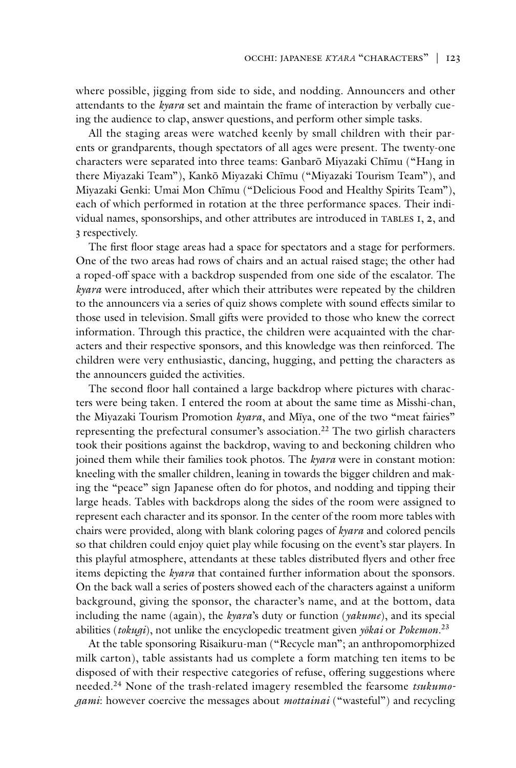where possible, jigging from side to side, and nodding. Announcers and other attendants to the *kyara* set and maintain the frame of interaction by verbally cueing the audience to clap, answer questions, and perform other simple tasks.

All the staging areas were watched keenly by small children with their parents or grandparents, though spectators of all ages were present. The twenty-one characters were separated into three teams: Ganbarō Miyazaki Chīmu ("Hang in there Miyazaki Team"), Kankō Miyazaki Chīmu ("Miyazaki Tourism Team"), and Miyazaki Genki: Umai Mon Chīmu ("Delicious Food and Healthy Spirits Team"), each of which performed in rotation at the three performance spaces. Their individual names, sponsorships, and other attributes are introduced in TABLES I, 2, and 3 respectively.

The first floor stage areas had a space for spectators and a stage for performers. One of the two areas had rows of chairs and an actual raised stage; the other had a roped-off space with a backdrop suspended from one side of the escalator. The *kyara* were introduced, after which their attributes were repeated by the children to the announcers via a series of quiz shows complete with sound effects similar to those used in television. Small gifts were provided to those who knew the correct information. Through this practice, the children were acquainted with the characters and their respective sponsors, and this knowledge was then reinforced. The children were very enthusiastic, dancing, hugging, and petting the characters as the announcers guided the activities.

The second floor hall contained a large backdrop where pictures with characters were being taken. I entered the room at about the same time as Misshi-chan, the Miyazaki Tourism Promotion *kyara*, and Mīya, one of the two "meat fairies" representing the prefectural consumer's association.<sup>22</sup> The two girlish characters took their positions against the backdrop, waving to and beckoning children who joined them while their families took photos. The *kyara* were in constant motion: kneeling with the smaller children, leaning in towards the bigger children and making the "peace" sign Japanese often do for photos, and nodding and tipping their large heads. Tables with backdrops along the sides of the room were assigned to represent each character and its sponsor. In the center of the room more tables with chairs were provided, along with blank coloring pages of *kyara* and colored pencils so that children could enjoy quiet play while focusing on the event's star players. In this playful atmosphere, attendants at these tables distributed flyers and other free items depicting the *kyara* that contained further information about the sponsors. On the back wall a series of posters showed each of the characters against a uniform background, giving the sponsor, the character's name, and at the bottom, data including the name (again), the *kyara*'s duty or function (*yakume*), and its special abilities (*tokugi*), not unlike the encyclopedic treatment given *yōkai* or *Pokemon*. 23

At the table sponsoring Risaikuru-man ("Recycle man"; an anthropomorphized milk carton), table assistants had us complete a form matching ten items to be disposed of with their respective categories of refuse, offering suggestions where needed.24 None of the trash-related imagery resembled the fearsome *tsukumogami*: however coercive the messages about *mottainai* ("wasteful") and recycling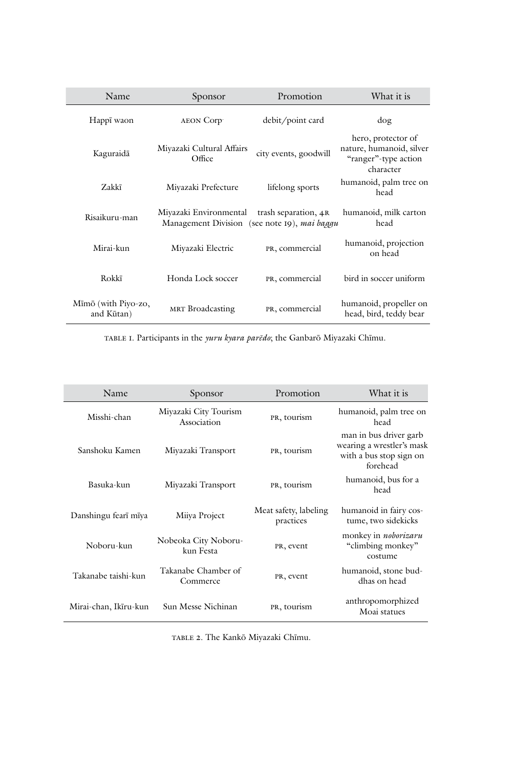| Name                              | Sponsor                                                                | Promotion             | What it is                                                                          |
|-----------------------------------|------------------------------------------------------------------------|-----------------------|-------------------------------------------------------------------------------------|
| Happī waon                        | AEON Corp                                                              | debit/point card      | dog                                                                                 |
| Kaguraidā                         | Miyazaki Cultural Affairs<br>Office                                    | city events, goodwill | hero, protector of<br>nature, humanoid, silver<br>"ranger"-type action<br>character |
| Zakkī                             | Miyazaki Prefecture                                                    | lifelong sports       | humanoid, palm tree on<br>head                                                      |
| Risaikuru-man                     | Miyazaki Environmental<br>Management Division (see note 19), mai baggu | trash separation, 4R  | humanoid, milk carton<br>head                                                       |
| Mirai-kun                         | Miyazaki Electric                                                      | PR, commercial        | humanoid, projection<br>on head                                                     |
| Rokkī                             | Honda Lock soccer                                                      | PR, commercial        | bird in soccer uniform                                                              |
| Mīmō (with Piyo-zo,<br>and Kūtan) | MRT Broadcasting                                                       | PR, commercial        | humanoid, propeller on<br>head, bird, teddy bear                                    |

table 1. Participants in the *yuru kyara parēdo*; the Ganbarō Miyazaki Chīmu.

| Name                  | Sponsor                              | Promotion                          | What it is                                                                                 |
|-----------------------|--------------------------------------|------------------------------------|--------------------------------------------------------------------------------------------|
| Misshi-chan           | Miyazaki City Tourism<br>Association | PR, tourism                        | humanoid, palm tree on<br>head                                                             |
| Sanshoku Kamen        | Miyazaki Transport                   | PR, tourism                        | man in bus driver garb<br>wearing a wrestler's mask<br>with a bus stop sign on<br>forehead |
| Basuka-kun            | Miyazaki Transport                   | PR, tourism                        | humanoid, bus for a<br>head                                                                |
| Danshingu fearī mīya  | Miiya Project                        | Meat safety, labeling<br>practices | humanoid in fairy cos-<br>tume, two sidekicks                                              |
| Noboru-kun            | Nobeoka City Noboru-<br>kun Festa    | PR, event                          | monkey in <i>noborizaru</i><br>"climbing monkey"<br>costume                                |
| Takanabe taishi-kun   | Takanabe Chamber of<br>Commerce      | PR, event                          | humanoid, stone bud-<br>dhas on head                                                       |
| Mirai-chan, Ikīru-kun | Sun Messe Nichinan                   | PR, tourism                        | anthropomorphized<br>Moai statues                                                          |

table 2. The Kankō Miyazaki Chīmu.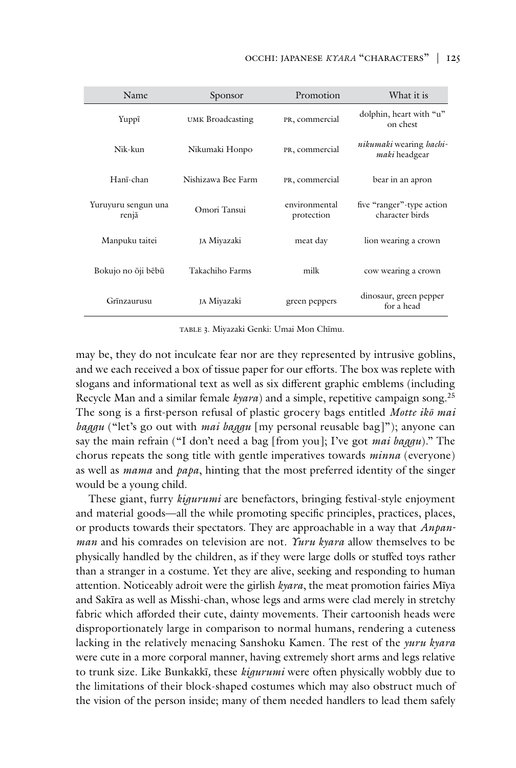| Name                         | Sponsor            | Promotion                   | What it is                                                     |
|------------------------------|--------------------|-----------------------------|----------------------------------------------------------------|
| Yuppī                        | UMK Broadcasting   | PR, commercial              | dolphin, heart with "u"<br>on chest                            |
| Nik-kun                      | Nikumaki Honpo     | PR, commercial              | <i>nikumaki</i> wearing <i>hachi</i> -<br><i>maki</i> headgear |
| Hanī-chan                    | Nishizawa Bee Farm | PR, commercial              | bear in an apron                                               |
| Yuruyuru sengun una<br>renjā | Omori Tansui       | environmental<br>protection | five "ranger"-type action<br>character birds                   |
| Manpuku taitei               | JA Miyazaki        | meat day                    | lion wearing a crown                                           |
| Bokujo no ōji bēbū           | Takachiho Farms    | milk                        | cow wearing a crown                                            |
| Grīnzaurusu                  | ja Miyazaki        | green peppers               | dinosaur, green pepper<br>for a head                           |

table 3. Miyazaki Genki: Umai Mon Chīmu.

may be, they do not inculcate fear nor are they represented by intrusive goblins, and we each received a box of tissue paper for our efforts. The box was replete with slogans and informational text as well as six different graphic emblems (including Recycle Man and a similar female *kyara*) and a simple, repetitive campaign song.25 The song is a first-person refusal of plastic grocery bags entitled *Motte ikō mai baggu* ("let's go out with *mai baggu* [my personal reusable bag]"); anyone can say the main refrain ("I don't need a bag [from you]; I've got *mai baggu*)." The chorus repeats the song title with gentle imperatives towards *minna* (everyone) as well as *mama* and *papa*, hinting that the most preferred identity of the singer would be a young child.

These giant, furry *kigurumi* are benefactors, bringing festival-style enjoyment and material goods—all the while promoting specific principles, practices, places, or products towards their spectators. They are approachable in a way that *Anpanman* and his comrades on television are not. *Yuru kyara* allow themselves to be physically handled by the children, as if they were large dolls or stuffed toys rather than a stranger in a costume. Yet they are alive, seeking and responding to human attention. Noticeably adroit were the girlish *kyara*, the meat promotion fairies Mīya and Sakīra as well as Misshi-chan, whose legs and arms were clad merely in stretchy fabric which afforded their cute, dainty movements. Their cartoonish heads were disproportionately large in comparison to normal humans, rendering a cuteness lacking in the relatively menacing Sanshoku Kamen. The rest of the *yuru kyara* were cute in a more corporal manner, having extremely short arms and legs relative to trunk size. Like Bunkakkī*,* these *kigurumi* were often physically wobbly due to the limitations of their block-shaped costumes which may also obstruct much of the vision of the person inside; many of them needed handlers to lead them safely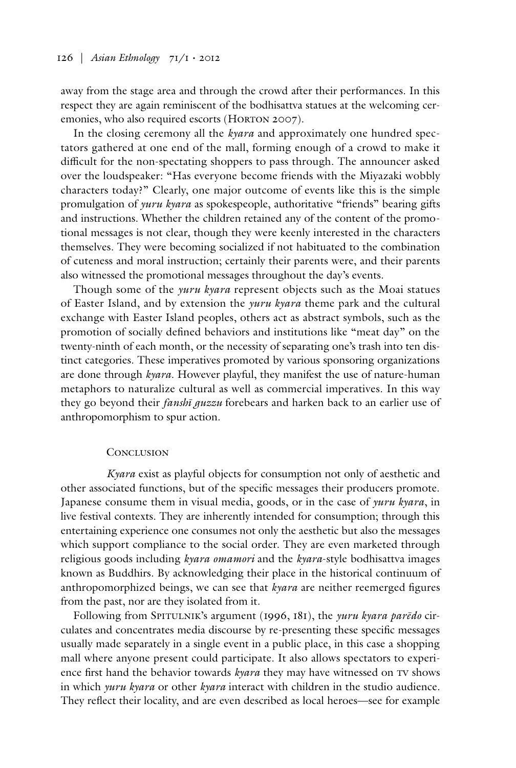away from the stage area and through the crowd after their performances. In this respect they are again reminiscent of the bodhisattva statues at the welcoming ceremonies, who also required escorts (HORTON 2007).

In the closing ceremony all the *kyara* and approximately one hundred spectators gathered at one end of the mall, forming enough of a crowd to make it difficult for the non-spectating shoppers to pass through. The announcer asked over the loudspeaker: "Has everyone become friends with the Miyazaki wobbly characters today?" Clearly, one major outcome of events like this is the simple promulgation of *yuru kyara* as spokespeople, authoritative "friends" bearing gifts and instructions. Whether the children retained any of the content of the promotional messages is not clear, though they were keenly interested in the characters themselves. They were becoming socialized if not habituated to the combination of cuteness and moral instruction; certainly their parents were, and their parents also witnessed the promotional messages throughout the day's events.

Though some of the *yuru kyara* represent objects such as the Moai statues of Easter Island, and by extension the *yuru kyara* theme park and the cultural exchange with Easter Island peoples, others act as abstract symbols, such as the promotion of socially defined behaviors and institutions like "meat day" on the twenty-ninth of each month, or the necessity of separating one's trash into ten distinct categories. These imperatives promoted by various sponsoring organizations are done through *kyara*. However playful, they manifest the use of nature-human metaphors to naturalize cultural as well as commercial imperatives. In this way they go beyond their *fanshī guzzu* forebears and harken back to an earlier use of anthropomorphism to spur action.

#### **CONCLUSION**

*Kyara* exist as playful objects for consumption not only of aesthetic and other associated functions, but of the specific messages their producers promote. Japanese consume them in visual media, goods, or in the case of *yuru kyara*, in live festival contexts. They are inherently intended for consumption; through this entertaining experience one consumes not only the aesthetic but also the messages which support compliance to the social order. They are even marketed through religious goods including *kyara omamori* and the *kyara*-style bodhisattva images known as Buddhirs. By acknowledging their place in the historical continuum of anthropomorphized beings, we can see that *kyara* are neither reemerged figures from the past, nor are they isolated from it.

Following from SPITULNIK's argument (1996, 181), the *yuru kyara parēdo* circulates and concentrates media discourse by re-presenting these specific messages usually made separately in a single event in a public place, in this case a shopping mall where anyone present could participate. It also allows spectators to experience first hand the behavior towards *kyara* they may have witnessed on TV shows in which *yuru kyara* or other *kyara* interact with children in the studio audience. They reflect their locality, and are even described as local heroes—see for example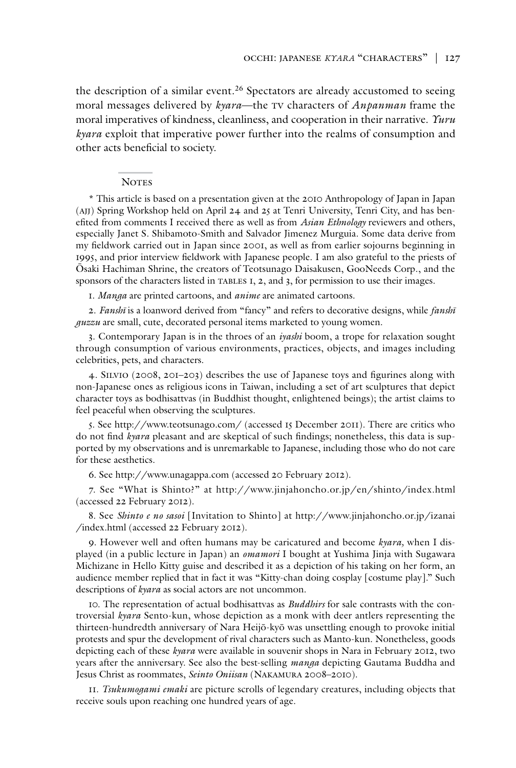the description of a similar event.<sup>26</sup> Spectators are already accustomed to seeing moral messages delivered by *kyara*—the tv characters of *Anpanman* frame the moral imperatives of kindness, cleanliness, and cooperation in their narrative. *Yuru kyara* exploit that imperative power further into the realms of consumption and other acts beneficial to society.

#### **NOTES**

\* This article is based on a presentation given at the 2010 Anthropology of Japan in Japan (ajj) Spring Workshop held on April 24 and 25 at Tenri University, Tenri City, and has benefited from comments I received there as well as from *Asian Ethnology* reviewers and others, especially Janet S. Shibamoto-Smith and Salvador Jimenez Murguia. Some data derive from my fieldwork carried out in Japan since 2001, as well as from earlier sojourns beginning in 1995, and prior interview fieldwork with Japanese people. I am also grateful to the priests of Ōsaki Hachiman Shrine, the creators of Teotsunago Daisakusen, GooNeeds Corp., and the sponsors of the characters listed in TABLES 1, 2, and 3, for permission to use their images.

1. *Manga* are printed cartoons, and *anime* are animated cartoons.

2. *Fanshī* is a loanword derived from "fancy" and refers to decorative designs, while *fanshī guzzu* are small, cute, decorated personal items marketed to young women.

3. Contemporary Japan is in the throes of an *iyashi* boom, a trope for relaxation sought through consumption of various environments, practices, objects, and images including celebrities, pets, and characters.

4. Silvio (2008, 201–203) describes the use of Japanese toys and figurines along with non-Japanese ones as religious icons in Taiwan, including a set of art sculptures that depict character toys as bodhisattvas (in Buddhist thought, enlightened beings); the artist claims to feel peaceful when observing the sculptures.

5. See http://www.teotsunago.com/ (accessed 15 December 2011). There are critics who do not find *kyara* pleasant and are skeptical of such findings; nonetheless, this data is supported by my observations and is unremarkable to Japanese, including those who do not care for these aesthetics.

6. See http://www.unagappa.com (accessed 20 February 2012).

7. See "What is Shinto?" at http://www.jinjahoncho.or.jp/en/shinto/index.html (accessed 22 February 2012).

8. See *Shinto e no sasoi* [Invitation to Shinto] at http://www.jinjahoncho.or.jp/izanai /index.html (accessed 22 February 2012).

9. However well and often humans may be caricatured and become *kyara,* when I displayed (in a public lecture in Japan) an *omamori* I bought at Yushima Jinja with Sugawara Michizane in Hello Kitty guise and described it as a depiction of his taking on her form, an audience member replied that in fact it was "Kitty-chan doing cosplay [costume play]." Such descriptions of *kyara* as social actors are not uncommon.

10. The representation of actual bodhisattvas as *Buddhirs* for sale contrasts with the controversial *kyara* Sento-kun, whose depiction as a monk with deer antlers representing the thirteen-hundredth anniversary of Nara Heijō-kyō was unsettling enough to provoke initial protests and spur the development of rival characters such as Manto-kun. Nonetheless, goods depicting each of these *kyara* were available in souvenir shops in Nara in February 2012, two years after the anniversary. See also the best-selling *manga* depicting Gautama Buddha and Jesus Christ as roommates, *Seinto Oniisan* (Nakamura 2008–2010).

11. *Tsukumogami emaki* are picture scrolls of legendary creatures, including objects that receive souls upon reaching one hundred years of age.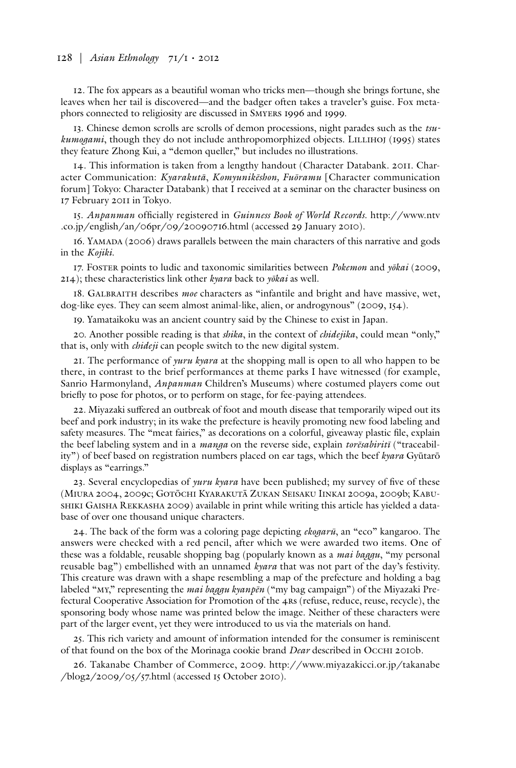#### 128 | *Asian Ethnology* 71/1 • 2012

12. The fox appears as a beautiful woman who tricks men—though she brings fortune, she leaves when her tail is discovered—and the badger often takes a traveler's guise. Fox metaphors connected to religiosity are discussed in Smyers 1996 and 1999.

13. Chinese demon scrolls are scrolls of demon processions, night parades such as the *tsukumogami*, though they do not include anthropomorphized objects. LILLIHOJ (1995) states they feature Zhong Kui, a "demon queller," but includes no illustrations.

14. This information is taken from a lengthy handout (Character Databank. 2011. Character Communication: *Kyarakutā*, *Komyunikēshon, Fuōramu* [Character communication forum] Tokyo: Character Databank) that I received at a seminar on the character business on 17 February 2011 in Tokyo.

15. *Anpanman* officially registered in *Guinness Book of World Records*. http://www.ntv .co.jp/english/an/06pr/09/20090716.html (accessed 29 January 2010).

16. Yamada (2006) draws parallels between the main characters of this narrative and gods in the *Kojiki.*

17. Foster points to ludic and taxonomic similarities between *Pokemon* and *yōkai* (2009, 214); these characteristics link other *kyara* back to *yōkai* as well.

18. Galbraith describes *moe* characters as "infantile and bright and have massive, wet, dog-like eyes. They can seem almost animal-like, alien, or androgynous" (2009, 154).

19. Yamataikoku was an ancient country said by the Chinese to exist in Japan.

20. Another possible reading is that *shika*, in the context of *chidejika*, could mean "only," that is, only with *chideji* can people switch to the new digital system.

21. The performance of *yuru kyara* at the shopping mall is open to all who happen to be there, in contrast to the brief performances at theme parks I have witnessed (for example, Sanrio Harmonyland, *Anpanman* Children's Museums) where costumed players come out briefly to pose for photos, or to perform on stage, for fee-paying attendees.

22. Miyazaki suffered an outbreak of foot and mouth disease that temporarily wiped out its beef and pork industry; in its wake the prefecture is heavily promoting new food labeling and safety measures. The "meat fairies," as decorations on a colorful, giveaway plastic file, explain the beef labeling system and in a *manga* on the reverse side, explain *torēsabiritī* ("traceability") of beef based on registration numbers placed on ear tags, which the beef *kyara* Gyūtarō displays as "earrings."

23. Several encyclopedias of *yuru kyara* have been published; my survey of five of these (Miura 2004, 2009c; Gotōchi Kyarakutā Zukan Seisaku Iinkai 2009a, 2009b; Kabushiki Gaisha Rekkasha 2009) available in print while writing this article has yielded a database of over one thousand unique characters.

24. The back of the form was a coloring page depicting *ekogarū*, an "eco" kangaroo. The answers were checked with a red pencil, after which we were awarded two items. One of these was a foldable, reusable shopping bag (popularly known as a *mai baggu*, "my personal reusable bag") embellished with an unnamed *kyara* that was not part of the day's festivity. This creature was drawn with a shape resembling a map of the prefecture and holding a bag labeled "my," representing the *mai baggu kyanpēn* ("my bag campaign") of the Miyazaki Prefectural Cooperative Association for Promotion of the 4rs (refuse, reduce, reuse, recycle), the sponsoring body whose name was printed below the image. Neither of these characters were part of the larger event, yet they were introduced to us via the materials on hand.

25. This rich variety and amount of information intended for the consumer is reminiscent of that found on the box of the Morinaga cookie brand *Dear* described in Occhi 2010b.

26. Takanabe Chamber of Commerce, 2009. http://www.miyazakicci.or.jp/takanabe /blog2/2009/05/57.html (accessed 15 October 2010).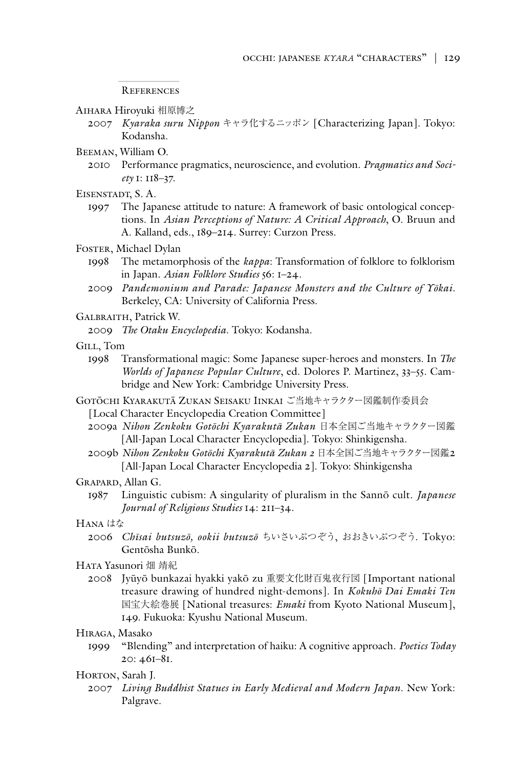References

- Aihara Hiroyuki 相原博之
	- 2007 *Kyaraka suru Nippon* キャラ化するニッポン [Characterizing Japan]. Tokyo: Kodansha.
- Beeman, William O.
	- 2010 Performance pragmatics, neuroscience, and evolution. *Pragmatics and Society* 1: 118–37.
- Eisenstadt, S. A.
	- 1997 The Japanese attitude to nature: A framework of basic ontological conceptions. In *Asian Perceptions of Nature: A Critical Approach*, O. Bruun and A. Kalland, eds., 189–214. Surrey: Curzon Press.
- FOSTER, Michael Dylan
	- 1998 The metamorphosis of the *kappa*: Transformation of folklore to folklorism in Japan. *Asian Folklore Studies* 56: 1–24.
	- 2009 *Pandemonium and Parade: Japanese Monsters and the Culture of Yōkai*. Berkeley, CA: University of California Press.
- Galbraith, Patrick W.
	- 2009 *The Otaku Encyclopedia*. Tokyo: Kodansha.
- Gill, Tom
	- 1998 Transformational magic: Some Japanese super-heroes and monsters. In *The Worlds of Japanese Popular Culture*, ed. Dolores P. Martinez, 33–55. Cambridge and New York: Cambridge University Press.
- Gotōchi Kyarakutā Zukan Seisaku Iinkai ご当地キャラクター図鑑制作委員会
	- [Local Character Encyclopedia Creation Committee]
	- 2009a *Nihon Zenkoku Gotōchi Kyarakutā Zukan* 日本全国ご当地キャラクター図鑑 [All-Japan Local Character Encyclopedia]. Tokyo: Shinkigensha.
	- 2009b *Nihon Zenkoku Gotōchi Kyarakutā Zukan 2* 日本全国ご当地キャラクター図鑑2 [All-Japan Local Character Encyclopedia 2]. Tokyo: Shinkigensha

Grapard, Allan G.

1987 Linguistic cubism: A singularity of pluralism in the Sannō cult. *Japanese Journal of Religious Studies* 14: 211–34.

#### Hana はな

2006 *Chīsai butsuzō, ookii butsuzō* ちいさいぶつぞう, おおきいぶつぞう. Tokyo: Gentōsha Bunkō.

#### Hata Yasunori 畑 靖紀

2008 Jyūyō bunkazai hyakki yakō zu 重要文化財百鬼夜行図 [Important national treasure drawing of hundred night-demons]. In *Kokuhō Dai Emaki Ten*  国宝大絵巻展 [National treasures: *Emaki* from Kyoto National Museum], 149. Fukuoka: Kyushu National Museum.

### Hiraga, Masako

1999 "Blending" and interpretation of haiku: A cognitive approach. *Poetics Today* 20: 461–81.

## HORTON, Sarah J.

2007 *Living Buddhist Statues in Early Medieval and Modern Japan*. New York: Palgrave.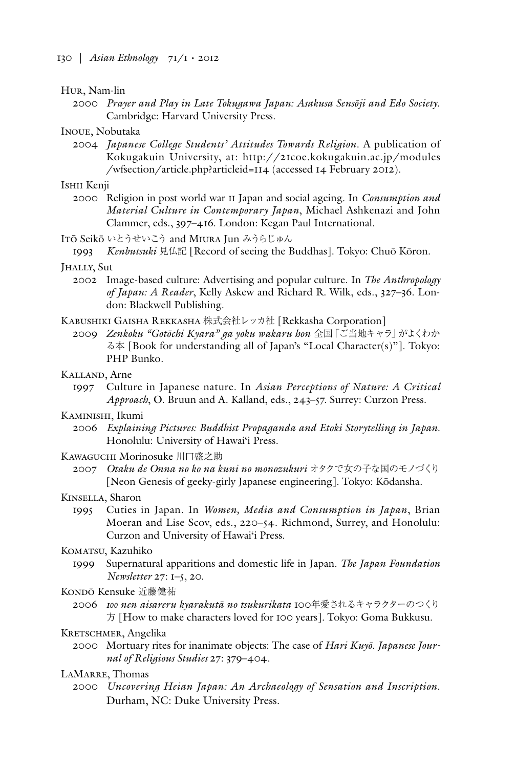#### Hur, Nam-lin

2000 *Prayer and Play in Late Tokugawa Japan: Asakusa Sensōji and Edo Society*. Cambridge: Harvard University Press.

# Inoue, Nobutaka

2004 *Japanese College Students' Attitudes Towards Religion*. A publication of Kokugakuin University, at: http://21coe.kokugakuin.ac.jp/modules /wfsection/article.php?articleid=114 (accessed 14 February 2012).

#### Ishii Kenji

- 2000 Religion in post world war ii Japan and social ageing. In *Consumption and Material Culture in Contemporary Japan*, Michael Ashkenazi and John Clammer, eds., 397–416. London: Kegan Paul International.
- Itō Seikō いとうせいこう and Miura Jun みうらじゅん
- 1993 *Kenbutsuki* 見仏記 [Record of seeing the Buddhas]. Tokyo: Chuō Kōron.

#### Jhally, Sut

- 2002 Image-based culture: Advertising and popular culture. In *The Anthropology of Japan: A Reader*, Kelly Askew and Richard R. Wilk, eds., 327–36. London: Blackwell Publishing.
- Kabushiki Gaisha Rekkasha 株式会社レッカ社 [Rekkasha Corporation]
	- 2009 *Zenkoku "Gotōchi Kyara" ga yoku wakaru hon* 全国「ご当地キャラ」がよくわか る本 [Book for understanding all of Japan's "Local Character(s)"]. Tokyo: PHP Bunko.
- Kalland, Arne
	- 1997 Culture in Japanese nature. In *Asian Perceptions of Nature: A Critical Approach*, O. Bruun and A. Kalland, eds., 243–57. Surrey: Curzon Press.

# KAMINISHI, Ikumi

- 2006 *Explaining Pictures: Buddhist Propaganda and Etoki Storytelling in Japan.*  Honolulu: University of Hawai'i Press.
- Kawaguchi Morinosuke 川口盛之助
	- 2007 *Otaku de Onna no ko na kuni no monozukuri* オタクで女の子な国のモノづくり [Neon Genesis of geeky-girly Japanese engineering]. Tokyo: Kōdansha.

#### Kinsella, Sharon

1995 Cuties in Japan. In *Women, Media and Consumption in Japan*, Brian Moeran and Lise Scov, eds., 220–54. Richmond, Surrey, and Honolulu: Curzon and University of Hawai'i Press.

### KOMATSU, Kazuhiko

1999 Supernatural apparitions and domestic life in Japan. *The Japan Foundation Newsletter* 27: 1–5, 20.

#### KONDŌ Kensuke 近藤健祐

2006 *100 nen aisareru kyarakutā no tsukurikata* 100年愛されるキャラクターのつくり 方 [How to make characters loved for 100 years]*.* Tokyo: Goma Bukkusu.

### KRETSCHMER, Angelika

2000 Mortuary rites for inanimate objects: The case of *Hari Kuyō. Japanese Journal of Religious Studies* 27: 379–404.

## LAMARRE, Thomas

2000 *Uncovering Heian Japan: An Archaeology of Sensation and Inscription*. Durham, NC: Duke University Press.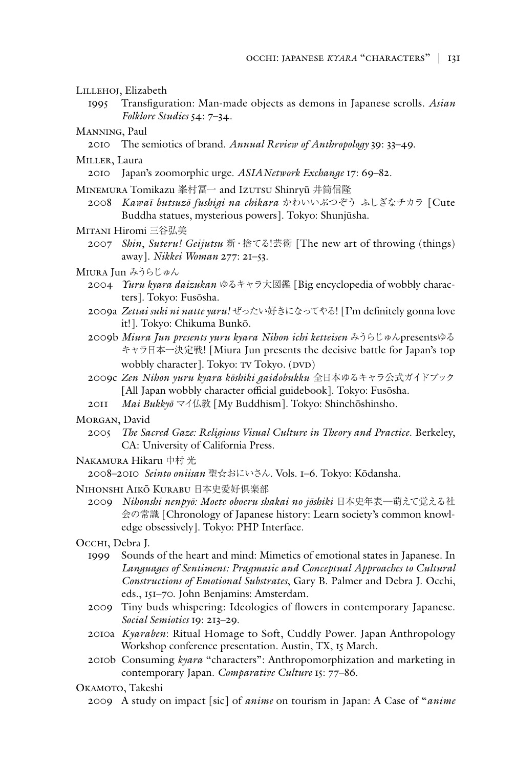Lillehoj, Elizabeth

- 1995 Transfiguration: Man-made objects as demons in Japanese scrolls. *Asian Folklore Studies* 54: 7–34.
- Manning, Paul
	- 2010 The semiotics of brand. *Annual Review of Anthropology* 39: 33–49.
- Miller, Laura
	- 2010 Japan's zoomorphic urge. *ASIANetwork Exchange* 17: 69–82.
- MINEMURA Tomikazu 峯村冨一 and IzUTSU Shinryū 井筒信隆
- 2008 *Kawaī butsuzō fushigi na chikara* かわいいぶつぞう ふしぎなチカラ [Cute Buddha statues, mysterious powers]. Tokyo: Shunjūsha.
- Mitani Hiromi 三谷弘美
	- 2007 *Shin*, *Suteru! Geijutsu* 新・捨てる!芸術 [The new art of throwing (things) away]*. Nikkei Woman* 277: 21–53.
- Miura Jun みうらじゅん
	- 2004 *Yuru kyara daizukan* ゆるキャラ大図鑑 [Big encyclopedia of wobbly characters]*.* Tokyo: Fusōsha.
	- 2009a *Zettai suki ni natte yaru!* ぜったい好きになってやる! [I'm definitely gonna love it!]. Tokyo: Chikuma Bunkō.
	- 2009b *Miura Jun presents yuru kyara Nihon ichi ketteisen* みうらじゅんpresentsゆる キャラ日本一決定戦! [Miura Jun presents the decisive battle for Japan's top wobbly character]. Tokyo: TV Tokyo. (DVD)
	- 2009c *Zen Nihon yuru kyara kōshiki gaidobukku* 全日本ゆるキャラ公式ガイドブック [All Japan wobbly character official guidebook]. Tokyo: Fusōsha*.*
	- 2011 *Mai Bukkyō* マイ仏教 [My Buddhism]. Tokyo: Shinchōshinsho.

MORGAN, David

- 2005 *The Sacred Gaze: Religious Visual Culture in Theory and Practice*. Berkeley, CA: University of California Press.
- Nakamura Hikaru 中村 光

2008–2010 *Seinto oniisan* 聖☆おにいさん. Vols. 1–6. Tokyo: Kōdansha.

- Nihonshi Aikō Kurabu 日本史愛好倶楽部
	- 2009 *Nihonshi nenpyō: Moete oboeru shakai no jōshiki* 日本史年表―萌えて覚える社 会の常識 [Chronology of Japanese history: Learn society's common knowledge obsessively]. Tokyo: PHP Interface.
- Occhi, Debra J.
	- 1999 Sounds of the heart and mind: Mimetics of emotional states in Japanese. In *Languages of Sentiment: Pragmatic and Conceptual Approaches to Cultural Constructions of Emotional Substrates*, Gary B. Palmer and Debra J. Occhi, eds., 151–70. John Benjamins: Amsterdam.
	- 2009 Tiny buds whispering: Ideologies of flowers in contemporary Japanese. *Social Semiotics* 19: 213–29.
	- 2010a *Kyaraben*: Ritual Homage to Soft, Cuddly Power. Japan Anthropology Workshop conference presentation. Austin, TX, 15 March.
	- 2010b Consuming *kyara* "characters": Anthropomorphization and marketing in contemporary Japan. *Comparative Culture* 15: 77–86.
- OKAMOTO, Takeshi
	- 2009 A study on impact [sic] of *anime* on tourism in Japan: A Case of "*anime*